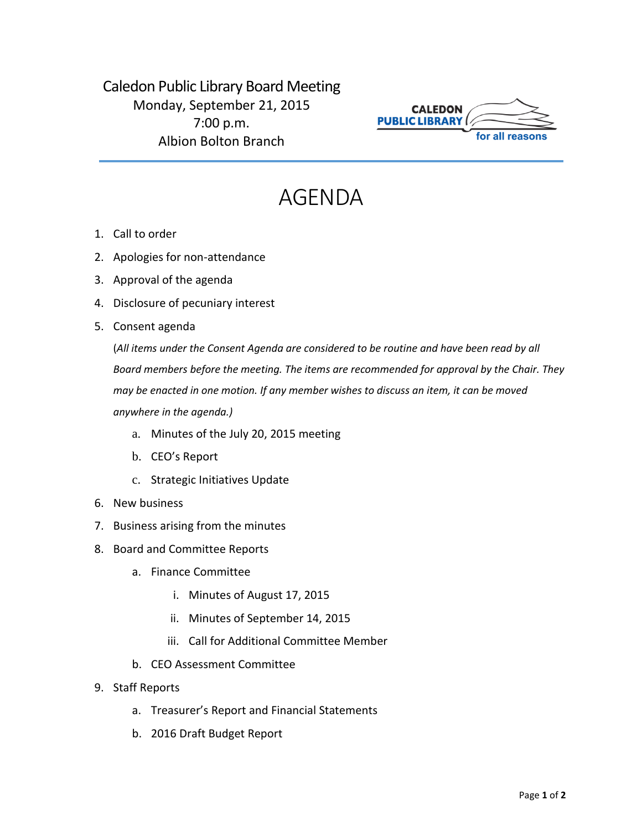Caledon Public Library Board Meeting Monday, September 21, 2015 7:00 p.m. Albion Bolton Branch



## AGENDA

- 1. Call to order
- 2. Apologies for non-attendance
- 3. Approval of the agenda
- 4. Disclosure of pecuniary interest
- 5. Consent agenda

(*All items under the Consent Agenda are considered to be routine and have been read by all Board members before the meeting. The items are recommended for approval by the Chair. They may be enacted in one motion. If any member wishes to discuss an item, it can be moved anywhere in the agenda.)*

- a. Minutes of the July 20, 2015 meeting
- b. CEO's Report
- c. Strategic Initiatives Update
- 6. New business
- 7. Business arising from the minutes
- 8. Board and Committee Reports
	- a. Finance Committee
		- i. Minutes of August 17, 2015
		- ii. Minutes of September 14, 2015
		- iii. Call for Additional Committee Member
	- b. CEO Assessment Committee
- 9. Staff Reports
	- a. Treasurer's Report and Financial Statements
	- b. 2016 Draft Budget Report